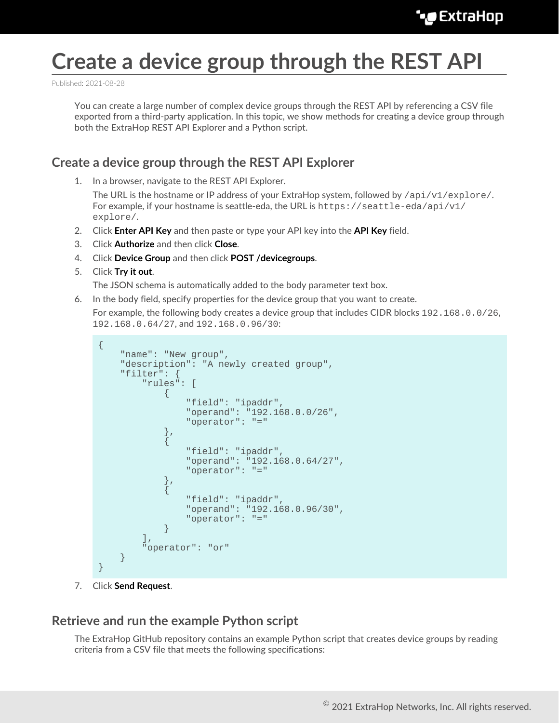## **Create a device group through the REST API**

Published: 2021-08-28

You can create a large number of complex device groups through the REST API by referencing a CSV file exported from a third-party application. In this topic, we show methods for creating a device group through both the ExtraHop REST API Explorer and a Python script.

## **Create a device group through the REST API Explorer**

1. In a browser, navigate to the REST API Explorer.

The URL is the hostname or IP address of your ExtraHop system, followed by /api/v1/explore/. For example, if your hostname is seattle-eda, the URL is https://seattle-eda/api/v1/ explore/.

- 2. Click **Enter API Key** and then paste or type your API key into the **API Key** field.
- 3. Click **Authorize** and then click **Close**.
- 4. Click **Device Group** and then click **POST /devicegroups**.
- 5. Click **Try it out**.

The JSON schema is automatically added to the body parameter text box.

6. In the body field, specify properties for the device group that you want to create.

For example, the following body creates a device group that includes CIDR blocks 192.168.0.0/26, 192.168.0.64/27, and 192.168.0.96/30:

```
{
     "name": "New group",
      "description": "A newly created group",
      "filter": {
           "rules": [
\left\{ \begin{array}{c} 0 & 0 \\ 0 & 0 \end{array} \right. "field": "ipaddr",
                      "operand": "192.168.0.0/26",
                      "operator": "="
\},
\left\{ \begin{array}{c} 0 & 0 \\ 0 & 0 \end{array} \right. "field": "ipaddr",
                      "operand": "192.168.0.64/27",
                      "operator": "="
\},
\left\{ \begin{array}{c} 0 & 0 \\ 0 & 0 \end{array} \right. "field": "ipaddr",
                      "operand": "192.168.0.96/30",
                 "operator": "="
 }
          \left| \right|,
           "operator": "or"
 }
}
```
7. Click **Send Request**.

## **Retrieve and run the example Python script**

The ExtraHop GitHub repository contains an example Python script that creates device groups by reading criteria from a CSV file that meets the following specifications: